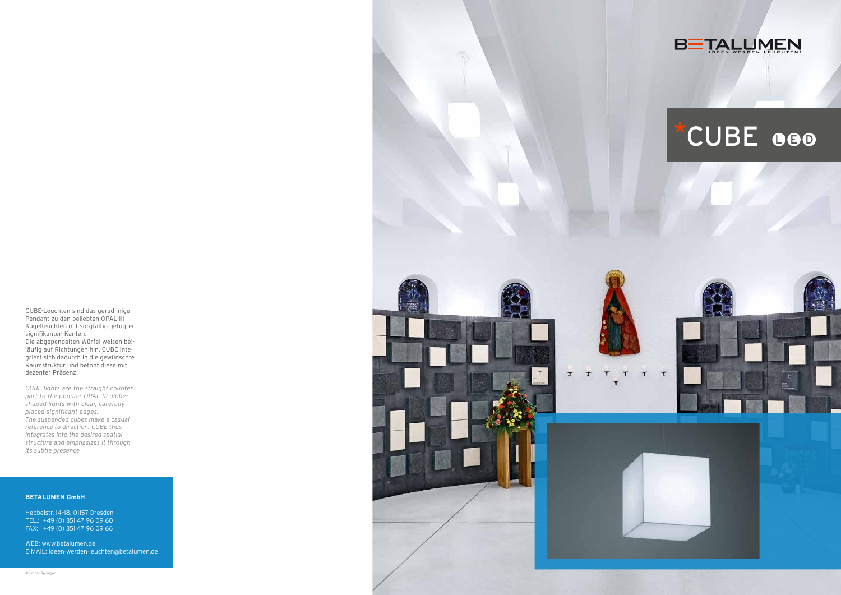CUBE-Leuchten sind das geradlinige Pendant zu den beliebten OPAL III Kugelleuchten mit sorgfältig gefügten signifikanten Kanten. Die abgependelten Würfel weisen bei läufig auf Richtungen hin. CUBE integriert sich dadurch in die gewünschte Raumstruktur und betont diese mit dezenter Präsenz.

*CUBE lights are the straight counter part to the popular OPAL III globeshaped lights with clear, carefully placed significant edges. The suspended cubes make a casual reference to direction. CUBE thus integrates into the desired spatial structure and emphasizes it through its subtle presence.*

#### **BETALUMEN GmbH**

Hebbelstr. 14–18, 01157 Dresden TEL.: +49 (0) 351 47 96 09 60 FAX: +49 (0) 351 47 96 09 66

WEB: www.betalumen.de E-MAIL: ideen-werden-leuchten @betalumen.de





# \*CUBE GOO